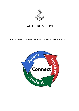

# TAFELBERG SCHOOL

# PARENT MEETING (GRADES 7‐9): INFORMATION BOOKLET

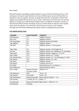#### Dear Parent

We look forward to providing a quality education to your child and working with you in the coming year. We want to get the best out of your child this year, but we will need their cooperation, and your support. We have no doubt that with their co‐operation and the vital support you provide from the home, we as a team, will attain success this year. Our primary objective is to give your child the best possible access to a difficult, crammed curriculum, in this the Senior Phase of their schooling. Our focus in 2022 will be to improve on the quality of the work and "passes" of our learners. We know we can count on your support. We hope you will find the following information useful in navigating the year ahead.

| <b>TEACHER</b>     | <b>CLASS TEACHER</b>                             | <b>SUBJECTS</b>                                  |  |
|--------------------|--------------------------------------------------|--------------------------------------------------|--|
| Mr Romanes         | 7.1<br>Register teacher                          |                                                  |  |
| Mrs Tutu           | 7.2                                              | Register teacher                                 |  |
| Mr Duvenhage       | 8.1                                              | Register teacher (8-9 EMS)                       |  |
| <b>Mrs Millard</b> | 8.2                                              | Register teacher                                 |  |
| Mr Eloff           | 9.1                                              | Register teacher, 7-9 Computers                  |  |
| <b>Miss Tilley</b> | 9.2                                              | Register teacher, LO & English Gr. 9             |  |
| Mr Last            | 10.1                                             | Register teacher, Gr. 8 Afrikaans, Gr. 8-9 Maths |  |
| <b>Miss Patel</b>  | 10.2                                             | Register teacher, English Gr. 9, 7-9 LO          |  |
| Mrs Tolken         | 11.1                                             | Register teacher, Gr. 7-8 Eng.                   |  |
| Mr Chikohomero     | 11.2                                             | Register teacher, Gr. 7-9 Technology, Gr. 8 NS   |  |
| Mrs Bester         | 12.1                                             | Register teacher, Gr. 9 Afr.                     |  |
| Mrs Marx           | 12.2                                             | Register teacher                                 |  |
| Mr Davids          | Creative arts Gr.7-9                             |                                                  |  |
| Mr Sickle          | Social Sciences Gr.7-9, EMS Gr. 7                |                                                  |  |
| Mrs Dippenaar      | <b>Natural Sciences Gr8-9</b>                    |                                                  |  |
| Mrs Lundie         | Deputy Principal                                 | Maths Gr. 8                                      |  |
|                    | of Junior School                                 |                                                  |  |
| Mr Abrahams        | <b>HOP</b>                                       | PE Gr. 7-8                                       |  |
| Mr Chaston         | 10-12 HOP<br>PE Gr. 7-8                          |                                                  |  |
| Mrs Steenkamp      | School Counsellor: Senior School (Grades 7 - 12) |                                                  |  |
| Mrs Woods          | 7-9 HOP, Afr. Gr. 7, Maths 7.1                   |                                                  |  |
| Mrs Benecke        | Deputy Principal of High School / Maths Gr. 7.2  |                                                  |  |
| Mr Benecke         | Principal                                        |                                                  |  |

#### **THE SENIOR PHASE STAFF**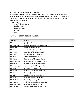#### **YOUR "GO TO" PEOPLE IN THE SENIOR PHASE**

Please always start all communications with the class/subject teacher, and then escalate if no answer/satisfaction is forthcoming. Remember too, to give teachers at least 24‐48 hours to respond to any emails. If no answer within that time‐frame, please resend the email and cc the Deputy into the email.

**Start with:** 

- Class / subject teacher
- Head of Phase
- Deputy Principal
- Principal
- $\bullet$  SGB

#### **E‐MAIL ADDRESS OF THE SENIOR PHASE STAFF**

| <b>TEACHER</b>     | <b>E-MAIL</b>                      |
|--------------------|------------------------------------|
| Mr Last            | jlast@tafelbergschool.co.za        |
| Mr Chikohomero     | pchikohomero@tafelbergschool.co.za |
| Mrs Tolken         | ttolken@tafelbergschool.co.za      |
| Mrs Bester         | abester@tafelbergschool.co.za      |
| Mr Davids          | odavids@tafelbergschool.co.za      |
| Ms Patel           | tpatel@tafelbergschool.co.za       |
| Mr Eloff           | celoff@tafelbergschool.co.za       |
| Mr Chaston         | bchaston@tafelbergschool.co.za     |
| Mrs Dippenaar      | edippenaar@tafelbergschool.co.za   |
| Mrs Lundie         | viceprin@tafelbergschool.co.za     |
| Mr Duvenhage       | eduvenhage@tafelbergschool.co.za   |
| Mrs Tutu           | ctutu@tafelbergschool.co.za        |
| Mrs Woods          | bwoods@tafelbergschool.co.za       |
| Mrs Benecke        | lee-anne@tafelbergschool.co.za     |
| Mr Sickle          | msickle@tafelbergschool.co.za      |
| Ms. Tilley         | ktilley@tafelbergschool.co.za      |
| <b>Mrs Millard</b> | hmillard@tafelbergschool.co.za     |
| Mr Abrahams        | wabrahams@tafelbergschool.co.za    |
| Mrs Steenkamp      | counsellor@tafelbergschool.co.za   |
| Mr Romanes         | dromanes@tafelbergschool.co.za     |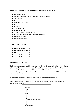#### **FORMS OF COMMUNICATION FROM TEACHER/SCHOOL TO PARENTS**

- Homework book
- Weekly Newsletter : on school website (every Tuesday)
- SMS service
- Emails
- Academic Term Report
- $\bullet$  ISP
- DT letters
- Telephone calls
- Letters / contracts
- Termly teacher-parent meetings
- FAT result schedule in front of note/work books
- Google Classroom
- Online minute book

#### **PASS / FAIL CRITERIA**

- **Home Language 50%**
- **Additional Language 40%**
- **Maths 40%**
- $\bullet$  3 x subjects 40%
- 2 x subjects 30%

#### **PROGRESSION OF LEARNING**

The learning process starts with the proper completion of homework tasks, which indicate to teachers whether the learner has understood a concept or section of work. This content/question technique is a skill the teacher wishes the learner to master for exam purposes. Thus, homework and informal assessments form the basis for FATs and finally year‐end examinations.

Please ensure your child does their homework to the best of his/her ability.

Doing homework and studying are not the same. They need to schedule study times, besides doing homework.

| <b>EXAMS</b>                |  |
|-----------------------------|--|
| <b>FATS</b>                 |  |
| <b>INFORMAL TESTS/TASKS</b> |  |
|                             |  |
|                             |  |
| <b>HOMEWORK</b>             |  |
|                             |  |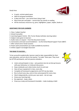Study Area:



- A quiet, uninterrupted space
- Well-lit and good ventilation
- A desk and chair you cannot learn lying in bed
- Must have pen and paper cannot learn by merely re-reading
- All the necessary resources e.g. pens, highlighters, paper, stapler, books et

#### **ASSISTANCE FOR OUR LEARNERS**

- 1. Class / subject teacher
- 2. School Counsellor
- 3. Learning Support Centre: Mrs Turner (Study methods, learning styles)
- 4. Subject notes given to learners
- 5. Audio notes on request from the Document Centre
- 6. Concessions and exam accommodations via the School‐Based Support Team (SBST)
- 7. After school and or break sessions
- 8. Power‐point presentations (as made available by teachers)
- 9. Online support via Google Classroom

#### **THE ROAD TO SUCCESS …**

To be successful academically, learners need to take responsibility for their own education, and not rely on the teacher "to make" them pass. They must be ACTIVE participants, and not passive onlookers.

- Listen and participate in class ask questions but do not disrupt lessons with poor behaviour or irrelevant discussions
- Keep notebooks up to date (notes stuck in) and neat
- Have all your equipment in class, every day
- Complete all homework assignments and FATs by due dates
- Be at school every day, and on time and prepared for every class
- Work independently, and do your own work do not copy
- Know your learning style
- $\bullet$  Be organised keep a diary
- $\bullet$  Draw up a study and homework timetable make studying a habit

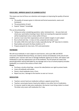#### **FOCUS 2022: IMPROVE QUALITY OF LEARNER OUTPUT**

This means we must all focus our attention and energies on improving the quality of learner outputs:

- The quality of answers given in informal and formal assessments, exams and homework
- The presentation of work
- Expand "deeper" knowledge

This can be achieved by:

- Taking care when completing questions, tasks, homework etc. do your best and check your work before handing it back. Work not meeting the expected standard will be handed back to be re-done within 24 hours
- Learners must raise their expectations and set realistic targets in each subject
- Be at school each day in class on time, prepared and ready to work
- Set aside a little time each day to study, especially during "off" days due to rotation.
- Read widely and watch the News bulletin on TV
- Prepare properly for class tests, FATs and examination

#### **TEXTBOOKS**

We will issue textbooks in each subject to each learner, and as per DBE and WCED instruction (Textbook Retrieval Policy), we need to retrieve all textbooks at the end of each academic year. Learners who lose or damage textbooks signed out to them, will replace said textbook(s) or pay the replacement cost of the textbook. The SA Schools Act states that parents/guardians will be held liable for any damage and or loss of school property (includes textbooks), as a result of the actions of their child.

#### **Please:**

- Purchase a sturdy school bag ensure the sides/bottom are rigid to protect books
- Cover all textbooks with plastic
- Parent, check textbooks once a Term
- Report any loss / damage to the teacher as soon as it occurs

#### **MEDICATION**

- Teachers cannot hand out medication without a signed consent form.
- Teachers cannot give leaners head-ache tablets or any other form of medication.
- If a learner needs to take extra medication, the learner must bring a letter to school. The letter only covers self-medication for 1 day.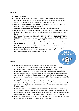#### **DISCIPLINE**

- **STARTS AT HOME**
- **SUPPORT THE SCHOOL STRUCTURES AND POLICIES:** Please make yourselves familiar with these polices as your child's corrective discipline is based on them. (SASA: "…misbehaviour is the responsibility of the parent …")
- **UNIFORM + APPEARANCE** (South African School's Act states that no learner is exempt from the school's Code of Conduct.)
- **UNACCEPTABLE LANGUAGE / COMMENTS**: Learners will face sanction
- **REFUSING TO CO‐OPERATE WHEN ASKED:** Learners will be removed from class for an hour and if he/she still refuses, they will be removed for the day and/or sent home.
- **DT:** Tuesday, Wednesday and Thursday. **DT CAN ONLY BE MOVED BY PARENTAL REQUEST.**  DT Slips must be returned and signed by a parent. SMS'S will no longer be sent out. If a child fails to attend DT, the DT will be doubled, and may result in a Saturday DT. Continuous infringement of the Code will result in Saturday DT.
- **CELLPHONES:** Any leaner caught with a cell phone/smartwatch during class time will have their cell phone/smartwatch confiscated for the rest of the term.
- **SOCIAL MEDIA / WHATSAPP ISSUES:** Please check your child's phone regularly. Please note that social media issues / WhatsApp issues are not the school's responsibility, but that of the parent.



#### **GENERAL**

- Please note that there are CCTV Cameras in all classrooms and in senior school passages. Footage from these cameras will be used in cases of infractions of the School Code of Conduct and or Classroom rules.
- Please use the drop-off / pick-up zones responsibly and be considerate of other parents and road users. Furthermore, do not park within the pedestrian crossings – use the parking bays. Lastly, should you enter the school grounds with a vehicle, please park in the designated parking area and **NOT** in the roadway or in front of the school foyer area.
- The SGB appeals to all parents to meet their financial obligation to their child's education. Without your school fees, we could not provide the academic and sport program we do at present, nor the safe and clean environment our children enjoy while at school.
- Please join the PTA we need new parent members. Without the PTA fundraising, we would need to raise school fees even more that we do at present. Contact Ms Patel for details on joining this dynamic team of moms and dads. Please sign up for a Woolworths MySchool Card and Makro Card – it's an easy way to raise funds.
- In line with WCED requests to save water, we have a water saving strategy at school. Please re-in force the need to save water, with your child.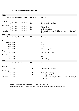#### **EXTRA‐MURAL PROGRAMME: 2022**

| <b>TERM1</b>          |                            |            |                                                                  |
|-----------------------|----------------------------|------------|------------------------------------------------------------------|
| Sport                 | Practice Days & Times      | Matches    | Coaches                                                          |
| Cricket               |                            |            |                                                                  |
| Snr                   | Tues & Thurs 15:00 - 16:00 | <b>NA</b>  | B Chaston, D McCulloch                                           |
| Swimming              |                            |            |                                                                  |
| Jnr                   | Tues & Thurs 15:00 - 16:00 | <b>NA</b>  | R Neethling                                                      |
| Snr                   | Tues & Thurs 15:00 - 16:00 | <b>NA</b>  | Le Grange, J Last                                                |
| Athletics             | Tues & Thurs 15:00 - 16:00 |            | O Davids D Romanes, M Gibbs, A Edwards, A Bester, A<br>Pretorius |
| <b>TERM 2 &amp; 3</b> |                            |            |                                                                  |
| Sport                 | Practice Days & Times      | Matches    | Coaches                                                          |
| Soccer                |                            |            |                                                                  |
| U12/U14               | <b>TBA</b>                 |            | O Davids                                                         |
| U16                   | <b>TBA</b>                 |            | M Gibbs                                                          |
| U19                   | <b>TBA</b>                 |            | W Abrahams                                                       |
| Girls                 | <b>TBA</b>                 |            | D Romanes, K Tilley                                              |
| Rugby                 |                            |            |                                                                  |
| Snr                   | <b>TBA</b>                 |            | B Chaston, D McCulloch                                           |
| Netball               |                            |            |                                                                  |
| Jnr                   | <b>TBA</b>                 |            | A Bester, A Edwards                                              |
| Snr                   | <b>TBA</b>                 |            | R Neethling, A Pretorius                                         |
| <b>TERM 4</b>         |                            |            |                                                                  |
| Sport                 | Practice Days & Times      | Matches    | Coaches                                                          |
| Cricket               |                            |            |                                                                  |
| Snr                   | <b>TBA</b>                 | <b>TBA</b> | <b>B Chaston, D McCulloch</b>                                    |
| Swimming              |                            |            |                                                                  |
| Jnr                   | <b>TBA</b>                 | <b>TBA</b> | T Koen, R Neethling                                              |
| Snr                   | <b>TBA</b>                 | <b>TBA</b> | Le Grange, J Last                                                |
| Athletics             | <b>TBA</b>                 |            | O Davids D Romanes, M Gibbs, A Edwards, A Bester, A              |
|                       |                            |            | Pretorius                                                        |

Learners must wear the correct sport kit items as prescribed.

Team/squad members must attend practices regularly and be available for all matches.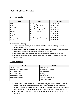### **SPORT INFORMATION: 2022**

#### A. Contact numbers

| Coach            | Team                          | <b>Number</b> |
|------------------|-------------------------------|---------------|
| W Abrahams       | Head of Sport                 | 063 7581 574  |
| <b>B</b> Chaston | Snr Rugby/Snr Cricket         | 082 9214 916  |
| D McCulloch      | Snr Rugby/Friday Program      | 074 1880 478  |
| D Romanes        | <b>Girls Soccer/Athletics</b> | 074 7211 877  |
| M Gibbs          | Jnr Cricket/ Snr Soccer       | 074 1119 082  |
| K Tilley         | Girls Soccer                  | 063 8906 450  |
| O Davids         | Athletics/U14 Soccer          | 060 6448 696  |
| R Neethling      | Snr Netball/Jnr Swimming      | 083 3709 282  |
| J Last           | <b>Snr Swimming</b>           | 072 4708 507  |

Please note the following:

- These numbers are only to be used to contact the coach about drop‐off times on match/practice days
- Coaches are *not to be contacted during lesson times* contact the school secretary should you need information about matches/practices etc.
- Do not abuse these numbers by contacting coaches about non-sport issues
- Furthermore, please do not contact them over weekends or during their private family time

#### B. Drop‐off points

| <b>SOUTH</b>               | <b>NORTH</b>               |  |
|----------------------------|----------------------------|--|
| <b>Athlone SAPS</b>        | Bay Side Mall              |  |
| Vangate Mall - McDonalds   | <b>McDonalds Millerton</b> |  |
| <b>KFC Grassy Park</b>     | <b>Vasco Station</b>       |  |
| <b>Blue Route Mall</b>     | N1 City                    |  |
| <b>McDonalds Ottery</b>    | Sable Square               |  |
| <b>McDonalds Pinelands</b> | Sasol Voortrekker Road     |  |
|                            | <b>Cape Town Station</b>   |  |

- The coaches / drivers will always endeavour to get your child to the drop‐off point on time, however, sometimes circumstances out of their control (traffic/delayed starting time etc.) may result in them not being at the drop-off point at the specified time. Please be patient and should they not contact you, please phone the coach.
- For your child's safety, please ensure you pick your child up at the designated drop‐ off point.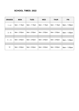# **SCHOOL TIMES: 2022**

| <b>GRADES</b> | <b>MON</b>     | <b>TUES</b>    | <b>WED</b>     | <b>THUR</b>    | <b>FRI</b>     |
|---------------|----------------|----------------|----------------|----------------|----------------|
| $1 + 2$       | $8am - 1:15pm$ | $8am - 1:15pm$ | $8am - 1:15pm$ | $8am - 1:15pm$ | $8am - 1:05pm$ |
|               |                |                |                |                |                |
| $3 - 6$       | 8am - 2:30pm   | 8am - 2:30pm   | 8am - 2:30pm   | 8am - 2:30pm   | $8am - 1:05pm$ |
|               |                |                |                |                |                |
| $7 - 11$      | 8am - 2:40pm   | 8am - 2:40pm   | 8am - 2:40pm   | 8am - 2:40pm   | $8am - 1:05pm$ |
|               |                |                |                |                |                |
| 12            | 8am - 2:40pm   | 8am - 2:40pm   | 8am - 2:40pm   | 8am - 2:40pm   | $8am - 1:05pm$ |